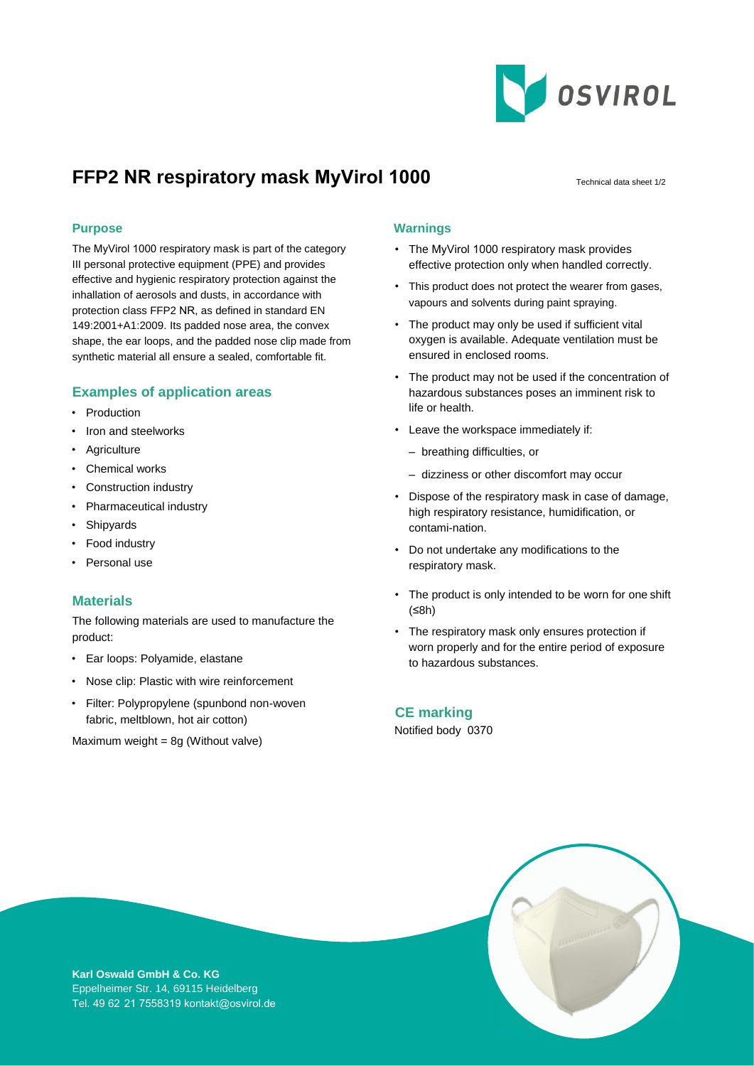

# **FFP2 NR respiratory mask MyVirol 1000** Technical data sheet 1/2

The MyVirol 1000 respiratory mask is part of the category III personal protective equipment (PPE) and provides effective and hygienic respiratory protection against the inhallation of aerosols and dusts, in accordance with protection class FFP2 NR, as defined in standard EN 149:2001+A1:2009. Its padded nose area, the convex shape, the ear loops, and the padded nose clip made from synthetic material all ensure a sealed, comfortable fit.

## **Examples of application areas**

- Production
- Iron and steelworks
- Agriculture
- Chemical works
- Construction industry
- Pharmaceutical industry
- Shipyards
- Food industry
- Personal use

### **Materials**

The following materials are used to manufacture the product:

- Ear loops: Polyamide, elastane
- Nose clip: Plastic with wire reinforcement
- Filter: Polypropylene (spunbond non-woven fabric, meltblown, hot air cotton)

Maximum weight =  $8g$  (Without valve)

#### **Purpose Warnings**

- The MyVirol 1000 respiratory mask provides effective protection only when handled correctly.
- This product does not protect the wearer from gases, vapours and solvents during paint spraying.
- The product may only be used if sufficient vital oxygen is available. Adequate ventilation must be ensured in enclosed rooms.
- The product may not be used if the concentration of hazardous substances poses an imminent risk to life or health.
- Leave the workspace immediately if:
	- breathing difficulties, or
	- dizziness or other discomfort may occur
- Dispose of the respiratory mask in case of damage, high respiratory resistance, humidification, or contami-nation.
- Do not undertake any modifications to the respiratory mask.
- The product is only intended to be worn for one shift (≤8h)
- The respiratory mask only ensures protection if worn properly and for the entire period of exposure to hazardous substances.

**CE marking**  Notified body 0370



**Karl Oswald GmbH & Co. KG**  Eppelheimer Str. 14, 69115 Heidelberg Tel. 49 62  21 7558319 kontakt@osvirol.de